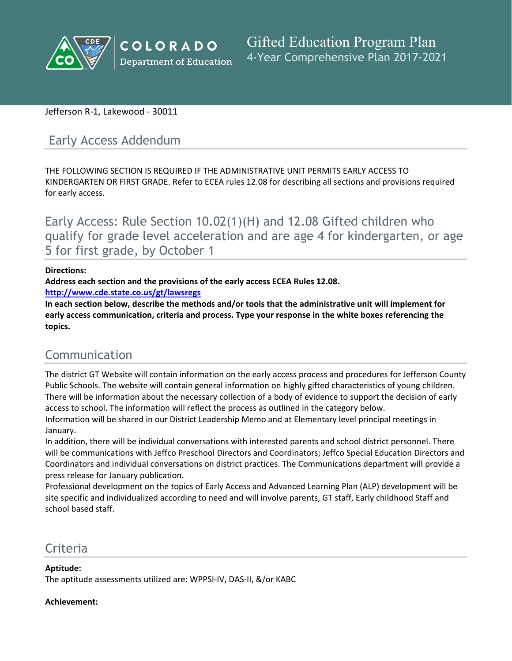

## Jefferson R-1, Lakewood - 30011

# Early Access Addendum

THE FOLLOWING SECTION IS REQUIRED IF THE ADMINISTRATIVE UNIT PERMITS EARLY ACCESS TO KINDERGARTEN OR FIRST GRADE. Refer to ECEA rules 12.08 for describing all sections and provisions required for early access.

Early Access: Rule Section 10.02(1)(H) and 12.08 Gifted children who qualify for grade level acceleration and are age 4 for kindergarten, or age 5 for first grade, by October 1

### **Directions:**

**Address each section and the provisions of the early access ECEA Rules 12.08.**

**<http://www.cde.state.co.us/gt/lawsregs>**

**In each section below, describe the methods and/or tools that the administrative unit will implement for early access communication, criteria and process. Type your response in the white boxes referencing the topics.**

# Communication

The district GT Website will contain information on the early access process and procedures for Jefferson County Public Schools. The website will contain general information on highly gifted characteristics of young children. There will be information about the necessary collection of a body of evidence to support the decision of early access to school. The information will reflect the process as outlined in the category below.

Information will be shared in our District Leadership Memo and at Elementary level principal meetings in January.

In addition, there will be individual conversations with interested parents and school district personnel. There will be communications with Jeffco Preschool Directors and Coordinators; Jeffco Special Education Directors and Coordinators and individual conversations on district practices. The Communications department will provide a press release for January publication.

Professional development on the topics of Early Access and Advanced Learning Plan (ALP) development will be site specific and individualized according to need and will involve parents, GT staff, Early childhood Staff and school based staff.

## Criteria

**Aptitude:**

The aptitude assessments utilized are: WPPSI-IV, DAS-II, &/or KABC

## **Achievement:**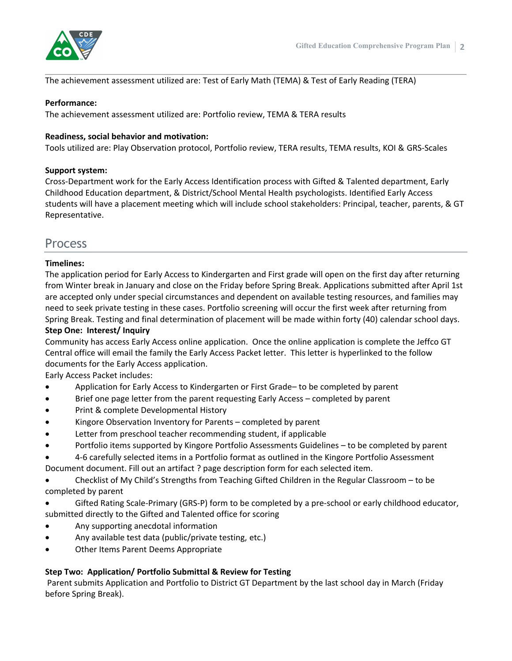

### The achievement assessment utilized are: Test of Early Math (TEMA) & Test of Early Reading (TERA)

#### **Performance:**

The achievement assessment utilized are: Portfolio review, TEMA & TERA results

### **Readiness, social behavior and motivation:**

Tools utilized are: Play Observation protocol, Portfolio review, TERA results, TEMA results, KOI & GRS-Scales

#### **Support system:**

Cross-Department work for the Early Access Identification process with Gifted & Talented department, Early Childhood Education department, & District/School Mental Health psychologists. Identified Early Access students will have a placement meeting which will include school stakeholders: Principal, teacher, parents, & GT Representative.

## **Process**

### **Timelines:**

The application period for Early Access to Kindergarten and First grade will open on the first day after returning from Winter break in January and close on the Friday before Spring Break. Applications submitted after April 1st are accepted only under special circumstances and dependent on available testing resources, and families may need to seek private testing in these cases. Portfolio screening will occur the first week after returning from Spring Break. Testing and final determination of placement will be made within forty (40) calendar school days. **Step One: Interest/ Inquiry**

Community has access Early Access online application. Once the online application is complete the Jeffco GT Central office will email the family the Early Access Packet letter. This letter is hyperlinked to the follow documents for the Early Access application.

Early Access Packet includes:

- Application for Early Access to Kindergarten or First Grade– to be completed by parent
- Brief one page letter from the parent requesting Early Access completed by parent
- Print & complete Developmental History
- Kingore Observation Inventory for Parents completed by parent
- Letter from preschool teacher recommending student, if applicable
- Portfolio items supported by Kingore Portfolio Assessments Guidelines to be completed by parent
- 4-6 carefully selected items in a Portfolio format as outlined in the Kingore Portfolio Assessment Document document. Fill out an artifact ? page description form for each selected item.
- Checklist of My Child's Strengths from Teaching Gifted Children in the Regular Classroom to be completed by parent
- Gifted Rating Scale-Primary (GRS-P) form to be completed by a pre-school or early childhood educator, submitted directly to the Gifted and Talented office for scoring
- Any supporting anecdotal information
- Any available test data (public/private testing, etc.)
- Other Items Parent Deems Appropriate

## **Step Two: Application/ Portfolio Submittal & Review for Testing**

Parent submits Application and Portfolio to District GT Department by the last school day in March (Friday before Spring Break).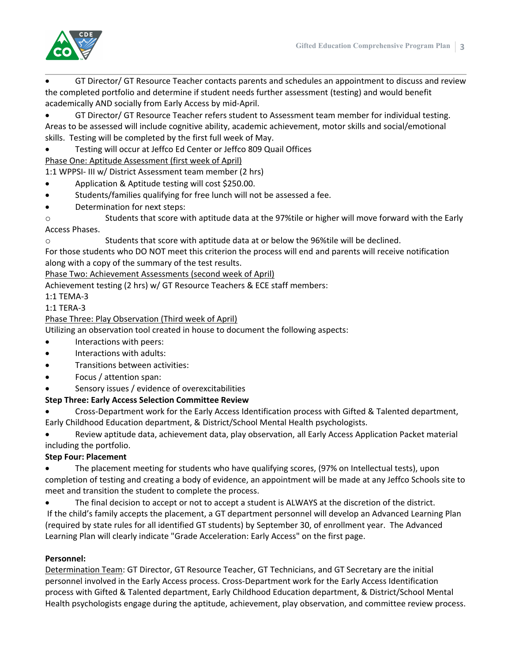

- GT Director/ GT Resource Teacher contacts parents and schedules an appointment to discuss and review the completed portfolio and determine if student needs further assessment (testing) and would benefit academically AND socially from Early Access by mid-April.
- GT Director/ GT Resource Teacher refers student to Assessment team member for individual testing. Areas to be assessed will include cognitive ability, academic achievement, motor skills and social/emotional skills. Testing will be completed by the first full week of May.
- Testing will occur at Jeffco Ed Center or Jeffco 809 Quail Offices

Phase One: Aptitude Assessment (first week of April)

1:1 WPPSI- III w/ District Assessment team member (2 hrs)

- Application & Aptitude testing will cost \$250.00.
- Students/families qualifying for free lunch will not be assessed a fee.
- Determination for next steps:
- o Students that score with aptitude data at the 97%tile or higher will move forward with the Early Access Phases.
- o Students that score with aptitude data at or below the 96%tile will be declined.

For those students who DO NOT meet this criterion the process will end and parents will receive notification along with a copy of the summary of the test results.

Phase Two: Achievement Assessments (second week of April)

Achievement testing (2 hrs) w/ GT Resource Teachers & ECE staff members:

1:1 TEMA-3

1:1 TERA-3

## Phase Three: Play Observation (Third week of April)

Utilizing an observation tool created in house to document the following aspects:

- Interactions with peers:
- Interactions with adults:
- Transitions between activities:
- Focus / attention span:
- Sensory issues / evidence of overexcitabilities

## **Step Three: Early Access Selection Committee Review**

 Cross-Department work for the Early Access Identification process with Gifted & Talented department, Early Childhood Education department, & District/School Mental Health psychologists.

 Review aptitude data, achievement data, play observation, all Early Access Application Packet material including the portfolio.

## **Step Four: Placement**

 The placement meeting for students who have qualifying scores, (97% on Intellectual tests), upon completion of testing and creating a body of evidence, an appointment will be made at any Jeffco Schools site to meet and transition the student to complete the process.

 The final decision to accept or not to accept a student is ALWAYS at the discretion of the district. If the child's family accepts the placement, a GT department personnel will develop an Advanced Learning Plan (required by state rules for all identified GT students) by September 30, of enrollment year. The Advanced Learning Plan will clearly indicate "Grade Acceleration: Early Access" on the first page.

## **Personnel:**

Determination Team: GT Director, GT Resource Teacher, GT Technicians, and GT Secretary are the initial personnel involved in the Early Access process. Cross-Department work for the Early Access Identification process with Gifted & Talented department, Early Childhood Education department, & District/School Mental Health psychologists engage during the aptitude, achievement, play observation, and committee review process.